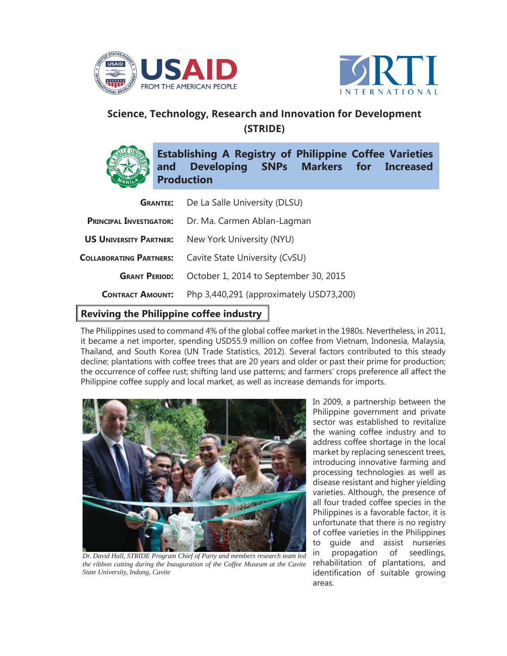



## **Science, Technology, Research and Innovation for Development (STRIDE)**



|                                | <b>GRANTEE:</b> De La Salle University (DLSU) |
|--------------------------------|-----------------------------------------------|
| <b>PRINCIPAL INVESTIGATOR:</b> | Dr. Ma. Carmen Ablan-Lagman                   |
| <b>US UNIVERSITY PARTNER:</b>  | New York University (NYU)                     |
| <b>COLLABORATING PARTNERS:</b> | Cavite State University (CvSU)                |
| <b>GRANT PERIOD:</b>           | October 1, 2014 to September 30, 2015         |
| <b>CONTRACT AMOUNT:</b>        | Php 3,440,291 (approximately USD73,200)       |

## **Reviving the Philippine coffee industry**

The Philippines used to command 4% of the global coffee market in the 1980s. Nevertheless, in 2011, it became a net importer, spending USD55.9 million on coffee from Vietnam, Indonesia, Malaysia, Thailand, and South Korea (UN Trade Statistics, 2012). Several factors contributed to this steady decline; plantations with coffee trees that are 20 years and older or past their prime for production; the occurrence of coffee rust; shifting land use patterns; and farmers' crops preference all affect the Philippine coffee supply and local market, as well as increase demands for imports.



*Dr. David Hall, STRIDE Program Chief of Party and members research team led the ribbon cutting during the Inauguration of the Coffee Museum at the Cavite State University, Indang, Cavite*

In 2009, a partnership between the Philippine government and private sector was established to revitalize the waning coffee industry and to address coffee shortage in the local market by replacing senescent trees, introducing innovative farming and processing technologies as well as disease resistant and higher yielding varieties. Although, the presence of all four traded coffee species in the Philippines is a favorable factor, it is unfortunate that there is no registry of coffee varieties in the Philippines to guide and assist nurseries in propagation of seedlings, rehabilitation of plantations, and identification of suitable growing areas.